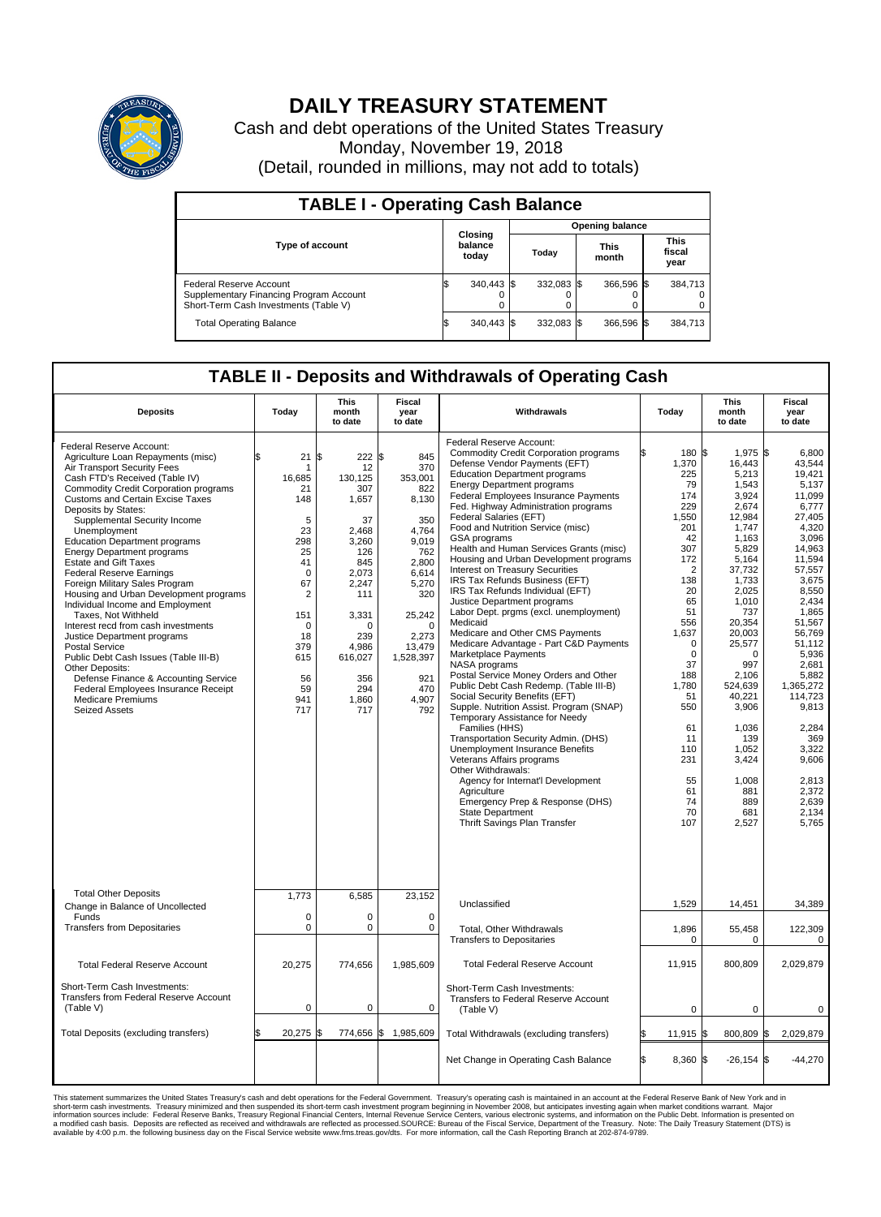

## **DAILY TREASURY STATEMENT**

Cash and debt operations of the United States Treasury Monday, November 19, 2018 (Detail, rounded in millions, may not add to totals)

| <b>TABLE I - Operating Cash Balance</b>                                                                     |    |                             |  |                        |  |                      |                               |         |  |  |  |
|-------------------------------------------------------------------------------------------------------------|----|-----------------------------|--|------------------------|--|----------------------|-------------------------------|---------|--|--|--|
|                                                                                                             |    |                             |  | <b>Opening balance</b> |  |                      |                               |         |  |  |  |
| <b>Type of account</b>                                                                                      |    | Closing<br>balance<br>today |  | Today                  |  | <b>This</b><br>month | <b>This</b><br>fiscal<br>year |         |  |  |  |
| Federal Reserve Account<br>Supplementary Financing Program Account<br>Short-Term Cash Investments (Table V) |    | 340,443 \$                  |  | $332.083$ \$           |  | 366.596 \$           |                               | 384,713 |  |  |  |
| <b>Total Operating Balance</b>                                                                              | IЭ | 340,443 \$                  |  | $332.083$ \$           |  | 366,596 \$           |                               | 384,713 |  |  |  |

## **TABLE II - Deposits and Withdrawals of Operating Cash**

| <b>Deposits</b>                                                                                                                                                                                                                                                                                                                                                                                                                                                                                                                                                                                                                                                                                                                                                                                                                                                                        | Today                                                                                                                                                                         | <b>This</b><br>month<br>to date                                                                                                                                                   | <b>Fiscal</b><br>year<br>to date                                                                                                                                                            | Withdrawals                                                                                                                                                                                                                                                                                                                                                                                                                                                                                                                                                                                                                                                                                                                                                                                                                                                                                                                                                                                                                                                                                                                                                                                                                                                                | Today                                                                                                                                                                                                                                                            | <b>This</b><br>month<br>to date                                                                                                                                                                                                                                                                            | Fiscal<br>year<br>to date                                                                                                                                                                                                                                                                                                    |
|----------------------------------------------------------------------------------------------------------------------------------------------------------------------------------------------------------------------------------------------------------------------------------------------------------------------------------------------------------------------------------------------------------------------------------------------------------------------------------------------------------------------------------------------------------------------------------------------------------------------------------------------------------------------------------------------------------------------------------------------------------------------------------------------------------------------------------------------------------------------------------------|-------------------------------------------------------------------------------------------------------------------------------------------------------------------------------|-----------------------------------------------------------------------------------------------------------------------------------------------------------------------------------|---------------------------------------------------------------------------------------------------------------------------------------------------------------------------------------------|----------------------------------------------------------------------------------------------------------------------------------------------------------------------------------------------------------------------------------------------------------------------------------------------------------------------------------------------------------------------------------------------------------------------------------------------------------------------------------------------------------------------------------------------------------------------------------------------------------------------------------------------------------------------------------------------------------------------------------------------------------------------------------------------------------------------------------------------------------------------------------------------------------------------------------------------------------------------------------------------------------------------------------------------------------------------------------------------------------------------------------------------------------------------------------------------------------------------------------------------------------------------------|------------------------------------------------------------------------------------------------------------------------------------------------------------------------------------------------------------------------------------------------------------------|------------------------------------------------------------------------------------------------------------------------------------------------------------------------------------------------------------------------------------------------------------------------------------------------------------|------------------------------------------------------------------------------------------------------------------------------------------------------------------------------------------------------------------------------------------------------------------------------------------------------------------------------|
| Federal Reserve Account:<br>Agriculture Loan Repayments (misc)<br>Air Transport Security Fees<br>Cash FTD's Received (Table IV)<br><b>Commodity Credit Corporation programs</b><br><b>Customs and Certain Excise Taxes</b><br>Deposits by States:<br>Supplemental Security Income<br>Unemployment<br><b>Education Department programs</b><br><b>Energy Department programs</b><br><b>Estate and Gift Taxes</b><br><b>Federal Reserve Earnings</b><br>Foreign Military Sales Program<br>Housing and Urban Development programs<br>Individual Income and Employment<br>Taxes. Not Withheld<br>Interest recd from cash investments<br>Justice Department programs<br><b>Postal Service</b><br>Public Debt Cash Issues (Table III-B)<br>Other Deposits:<br>Defense Finance & Accounting Service<br>Federal Employees Insurance Receipt<br><b>Medicare Premiums</b><br><b>Seized Assets</b> | 21<br>\$<br>1<br>16,685<br>21<br>148<br>5<br>23<br>298<br>25<br>41<br>$\mathbf 0$<br>67<br>$\overline{2}$<br>151<br>$\mathbf 0$<br>18<br>379<br>615<br>56<br>59<br>941<br>717 | \$<br>222S<br>12<br>130.125<br>307<br>1,657<br>37<br>2,468<br>3,260<br>126<br>845<br>2,073<br>2,247<br>111<br>3,331<br>O<br>239<br>4,986<br>616,027<br>356<br>294<br>1,860<br>717 | 845<br>370<br>353,001<br>822<br>8,130<br>350<br>4,764<br>9,019<br>762<br>2,800<br>6,614<br>5,270<br>320<br>25,242<br>$\Omega$<br>2,273<br>13,479<br>1,528,397<br>921<br>470<br>4,907<br>792 | Federal Reserve Account:<br><b>Commodity Credit Corporation programs</b><br>Defense Vendor Payments (EFT)<br><b>Education Department programs</b><br><b>Energy Department programs</b><br><b>Federal Employees Insurance Payments</b><br>Fed. Highway Administration programs<br>Federal Salaries (EFT)<br>Food and Nutrition Service (misc)<br>GSA programs<br>Health and Human Services Grants (misc)<br>Housing and Urban Development programs<br>Interest on Treasury Securities<br>IRS Tax Refunds Business (EFT)<br>IRS Tax Refunds Individual (EFT)<br>Justice Department programs<br>Labor Dept. prgms (excl. unemployment)<br>Medicaid<br>Medicare and Other CMS Payments<br>Medicare Advantage - Part C&D Payments<br>Marketplace Payments<br>NASA programs<br>Postal Service Money Orders and Other<br>Public Debt Cash Redemp. (Table III-B)<br>Social Security Benefits (EFT)<br>Supple. Nutrition Assist. Program (SNAP)<br>Temporary Assistance for Needy<br>Families (HHS)<br>Transportation Security Admin. (DHS)<br>Unemployment Insurance Benefits<br>Veterans Affairs programs<br>Other Withdrawals:<br>Agency for Internat'l Development<br>Agriculture<br>Emergency Prep & Response (DHS)<br><b>State Department</b><br>Thrift Savings Plan Transfer | 180 \$<br>1,370<br>225<br>79<br>174<br>229<br>1,550<br>201<br>42<br>307<br>172<br>$\overline{2}$<br>138<br>20<br>65<br>51<br>556<br>1,637<br>$\Omega$<br>$\mathbf 0$<br>37<br>188<br>1,780<br>51<br>550<br>61<br>11<br>110<br>231<br>55<br>61<br>74<br>70<br>107 | 1.975 \$<br>16,443<br>5,213<br>1,543<br>3,924<br>2,674<br>12,984<br>1,747<br>1,163<br>5,829<br>5,164<br>37,732<br>1,733<br>2,025<br>1.010<br>737<br>20,354<br>20,003<br>25,577<br>0<br>997<br>2,106<br>524,639<br>40,221<br>3,906<br>1,036<br>139<br>1,052<br>3,424<br>1,008<br>881<br>889<br>681<br>2,527 | 6.800<br>43,544<br>19,421<br>5,137<br>11,099<br>6,777<br>27,405<br>4.320<br>3,096<br>14,963<br>11,594<br>57,557<br>3,675<br>8,550<br>2.434<br>1,865<br>51.567<br>56,769<br>51.112<br>5,936<br>2.681<br>5,882<br>1,365,272<br>114,723<br>9,813<br>2,284<br>369<br>3,322<br>9,606<br>2,813<br>2,372<br>2,639<br>2.134<br>5,765 |
| <b>Total Other Deposits</b><br>Change in Balance of Uncollected                                                                                                                                                                                                                                                                                                                                                                                                                                                                                                                                                                                                                                                                                                                                                                                                                        | 1,773                                                                                                                                                                         | 6,585                                                                                                                                                                             | 23,152                                                                                                                                                                                      | Unclassified                                                                                                                                                                                                                                                                                                                                                                                                                                                                                                                                                                                                                                                                                                                                                                                                                                                                                                                                                                                                                                                                                                                                                                                                                                                               | 1,529                                                                                                                                                                                                                                                            | 14,451                                                                                                                                                                                                                                                                                                     | 34,389                                                                                                                                                                                                                                                                                                                       |
| Funds<br><b>Transfers from Depositaries</b>                                                                                                                                                                                                                                                                                                                                                                                                                                                                                                                                                                                                                                                                                                                                                                                                                                            | $\mathbf 0$<br>$\mathbf 0$                                                                                                                                                    | 0<br>0                                                                                                                                                                            | 0<br>$\mathbf 0$                                                                                                                                                                            | <b>Total. Other Withdrawals</b><br><b>Transfers to Depositaries</b>                                                                                                                                                                                                                                                                                                                                                                                                                                                                                                                                                                                                                                                                                                                                                                                                                                                                                                                                                                                                                                                                                                                                                                                                        | 1,896<br>0                                                                                                                                                                                                                                                       | 55,458<br>0                                                                                                                                                                                                                                                                                                | 122,309<br>0                                                                                                                                                                                                                                                                                                                 |
| <b>Total Federal Reserve Account</b>                                                                                                                                                                                                                                                                                                                                                                                                                                                                                                                                                                                                                                                                                                                                                                                                                                                   | 20,275                                                                                                                                                                        | 774,656                                                                                                                                                                           | 1,985,609                                                                                                                                                                                   | <b>Total Federal Reserve Account</b>                                                                                                                                                                                                                                                                                                                                                                                                                                                                                                                                                                                                                                                                                                                                                                                                                                                                                                                                                                                                                                                                                                                                                                                                                                       | 11,915                                                                                                                                                                                                                                                           | 800,809                                                                                                                                                                                                                                                                                                    | 2,029,879                                                                                                                                                                                                                                                                                                                    |
| Short-Term Cash Investments:<br>Transfers from Federal Reserve Account<br>(Table V)                                                                                                                                                                                                                                                                                                                                                                                                                                                                                                                                                                                                                                                                                                                                                                                                    | $\mathbf 0$                                                                                                                                                                   | 0                                                                                                                                                                                 | $\mathbf 0$                                                                                                                                                                                 | Short-Term Cash Investments:<br>Transfers to Federal Reserve Account<br>(Table V)                                                                                                                                                                                                                                                                                                                                                                                                                                                                                                                                                                                                                                                                                                                                                                                                                                                                                                                                                                                                                                                                                                                                                                                          | $\mathbf 0$                                                                                                                                                                                                                                                      | 0                                                                                                                                                                                                                                                                                                          | 0                                                                                                                                                                                                                                                                                                                            |
| Total Deposits (excluding transfers)                                                                                                                                                                                                                                                                                                                                                                                                                                                                                                                                                                                                                                                                                                                                                                                                                                                   | 20,275<br>\$                                                                                                                                                                  | ß.                                                                                                                                                                                | 774,656 \$1,985,609                                                                                                                                                                         | Total Withdrawals (excluding transfers)                                                                                                                                                                                                                                                                                                                                                                                                                                                                                                                                                                                                                                                                                                                                                                                                                                                                                                                                                                                                                                                                                                                                                                                                                                    | 11,915 \$                                                                                                                                                                                                                                                        | 800,809 \$                                                                                                                                                                                                                                                                                                 | 2,029,879                                                                                                                                                                                                                                                                                                                    |
|                                                                                                                                                                                                                                                                                                                                                                                                                                                                                                                                                                                                                                                                                                                                                                                                                                                                                        |                                                                                                                                                                               |                                                                                                                                                                                   |                                                                                                                                                                                             | Net Change in Operating Cash Balance                                                                                                                                                                                                                                                                                                                                                                                                                                                                                                                                                                                                                                                                                                                                                                                                                                                                                                                                                                                                                                                                                                                                                                                                                                       | Ŝ.<br>8,360 \$                                                                                                                                                                                                                                                   | $-26,154$ \$                                                                                                                                                                                                                                                                                               | $-44,270$                                                                                                                                                                                                                                                                                                                    |

This statement summarizes the United States Treasury's cash and debt operations for the Federal Government. Treasury's operating in November 2008, but anticingates investment summarket conditions warrant. Major<br>short-term